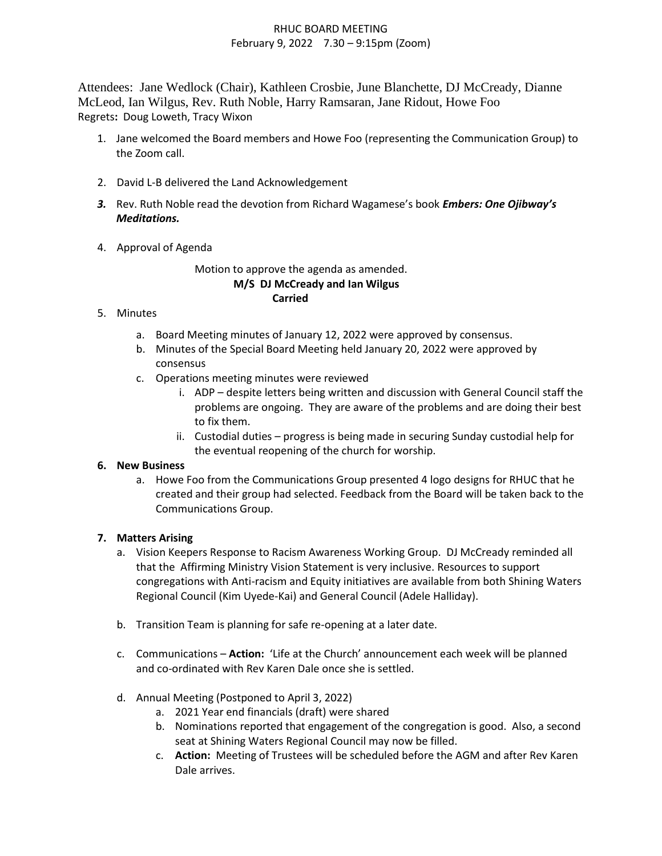## RHUC BOARD MEETING February 9, 2022 7.30 – 9:15pm (Zoom)

Attendees: Jane Wedlock (Chair), Kathleen Crosbie, June Blanchette, DJ McCready, Dianne McLeod, Ian Wilgus, Rev. Ruth Noble, Harry Ramsaran, Jane Ridout, Howe Foo Regrets**:** Doug Loweth, Tracy Wixon

- 1. Jane welcomed the Board members and Howe Foo (representing the Communication Group) to the Zoom call.
- 2. David L-B delivered the Land Acknowledgement
- *3.* Rev. Ruth Noble read the devotion from Richard Wagamese's book *Embers: One Ojibway's Meditations.*
- 4. Approval of Agenda

Motion to approve the agenda as amended. **M/S DJ McCready and Ian Wilgus Carried**

- 5. Minutes
	- a. Board Meeting minutes of January 12, 2022 were approved by consensus.
	- b. Minutes of the Special Board Meeting held January 20, 2022 were approved by consensus
	- c. Operations meeting minutes were reviewed
		- i. ADP despite letters being written and discussion with General Council staff the problems are ongoing. They are aware of the problems and are doing their best to fix them.
		- ii. Custodial duties progress is being made in securing Sunday custodial help for the eventual reopening of the church for worship.

# **6. New Business**

a. Howe Foo from the Communications Group presented 4 logo designs for RHUC that he created and their group had selected. Feedback from the Board will be taken back to the Communications Group.

# **7. Matters Arising**

- a. Vision Keepers Response to Racism Awareness Working Group. DJ McCready reminded all that the Affirming Ministry Vision Statement is very inclusive. Resources to support congregations with Anti-racism and Equity initiatives are available from both Shining Waters Regional Council (Kim Uyede-Kai) and General Council (Adele Halliday).
- b. Transition Team is planning for safe re-opening at a later date.
- c. Communications **Action:** 'Life at the Church' announcement each week will be planned and co-ordinated with Rev Karen Dale once she is settled.
- d. Annual Meeting (Postponed to April 3, 2022)
	- a. 2021 Year end financials (draft) were shared
	- b. Nominations reported that engagement of the congregation is good. Also, a second seat at Shining Waters Regional Council may now be filled.
	- c. **Action:** Meeting of Trustees will be scheduled before the AGM and after Rev Karen Dale arrives.